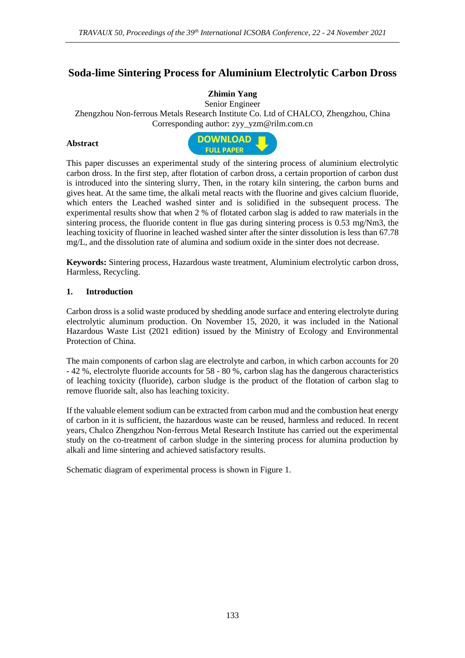# **Soda-lime Sintering Process for Aluminium Electrolytic Carbon Dross**

## **Zhimin Yang**

Senior Engineer

Zhengzhou Non-ferrous Metals Research Institute Co. Ltd of CHALCO, Zhengzhou, China Corresponding author: zyy\_yzm@rilm.com.cn

#### **Abstract**



This paper discusses an experimental study of the sintering process of aluminium electrolytic carbon dross. In the first step, after flotation of carbon dross, a certain proportion of carbon dust is introduced into the sintering slurry, Then, in the rotary kiln sintering, the carbon burns and gives heat. At the same time, the alkali metal reacts with the fluorine and gives calcium fluoride, which enters the Leached washed sinter and is solidified in the subsequent process. The experimental results show that when 2 % of flotated carbon slag is added to raw materials in the sintering process, the fluoride content in flue gas during sintering process is 0.53 mg/Nm3, the leaching toxicity of fluorine in leached washed sinter after the sinter dissolution is less than 67.78 mg/L, and the dissolution rate of alumina and sodium oxide in the sinter does not decrease.

**Keywords:** Sintering process, Hazardous waste treatment, Aluminium electrolytic carbon dross, Harmless, Recycling.

#### **1. Introduction**

Carbon dross is a solid waste produced by shedding anode surface and entering electrolyte during electrolytic aluminum production. On November 15, 2020, it was included in the National Hazardous Waste List (2021 edition) issued by the Ministry of Ecology and Environmental Protection of China.

The main components of carbon slag are electrolyte and carbon, in which carbon accounts for 20 - 42 %, electrolyte fluoride accounts for 58 - 80 %, carbon slag has the dangerous characteristics of leaching toxicity (fluoride), carbon sludge is the product of the flotation of carbon slag to remove fluoride salt, also has leaching toxicity.

If the valuable element sodium can be extracted from carbon mud and the combustion heat energy of carbon in it is sufficient, the hazardous waste can be reused, harmless and reduced. In recent years, Chalco Zhengzhou Non-ferrous Metal Research Institute has carried out the experimental study on the co-treatment of carbon sludge in the sintering process for alumina production by alkali and lime sintering and achieved satisfactory results.

Schematic diagram of experimental process is shown in Figure 1.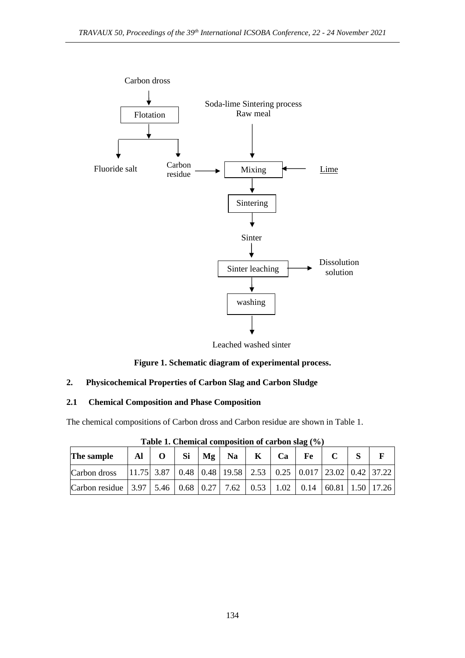

Leached washed sinter



## **2. Physicochemical Properties of Carbon Slag and Carbon Sludge**

## **2.1 Chemical Composition and Phase Composition**

The chemical compositions of Carbon dross and Carbon residue are shown in Table 1.

| The sample                                                                                                                                                                                                                       | Al | Si | Mg | <b>Na</b>                                                                                                                             | K | Ca | Fe |  |  |
|----------------------------------------------------------------------------------------------------------------------------------------------------------------------------------------------------------------------------------|----|----|----|---------------------------------------------------------------------------------------------------------------------------------------|---|----|----|--|--|
| Carbon dross                                                                                                                                                                                                                     |    |    |    | $\vert 11.75 \vert 3.87 \vert 0.48 \vert 0.48 \vert 19.58 \vert 2.53 \vert 0.25 \vert 0.017 \vert 23.02 \vert 0.42 \vert 37.22 \vert$ |   |    |    |  |  |
| Carbon residue $\begin{bmatrix} 3.97 \\ 5.46 \end{bmatrix}$ 6.68 $\begin{bmatrix} 0.27 \\ 7.62 \end{bmatrix}$ 6.53 $\begin{bmatrix} 1.02 \\ 0.14 \\ 60.81 \end{bmatrix}$ 6.81 $\begin{bmatrix} 1.50 \\ 1.50 \end{bmatrix}$ 17.26 |    |    |    |                                                                                                                                       |   |    |    |  |  |

**Table 1. Chemical composition of carbon slag (%)**